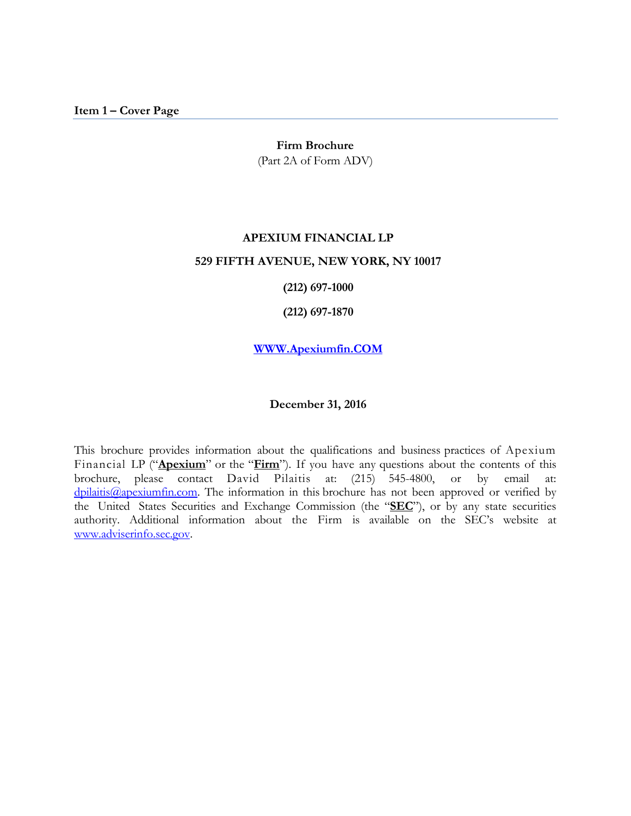#### **Firm Brochure**

(Part 2A of Form ADV)

# <span id="page-0-0"></span>**APEXIUM FINANCIAL LP 529 FIFTH AVENUE, NEW YORK, NY 10017**

**(212) 697-1000**

**(212) 697-1870**

**[WWW.Apexiumfin.COM](http://www.apexiumfin.com/)**

#### **December 31, 2016**

This brochure provides information about the qualifications and business practices of Apexium Financial LP ("**Apexium**" or the "**Firm**"). If you have any questions about the contents of this brochure, please contact David Pilaitis at: (215) 545-4800, or by email at: [dpilaitis@apexiumfin.com.](mailto:dpilaitis@apexiumfin.com) The information in this brochure has not been approved or verified by the United States Securities and Exchange Commission (the "**SEC**"), or by any state securities authority. Additional information about the Firm is available on the SEC's website at [www.adviserinfo.sec.gov.](http://www.adviserinfo.sec.gov/)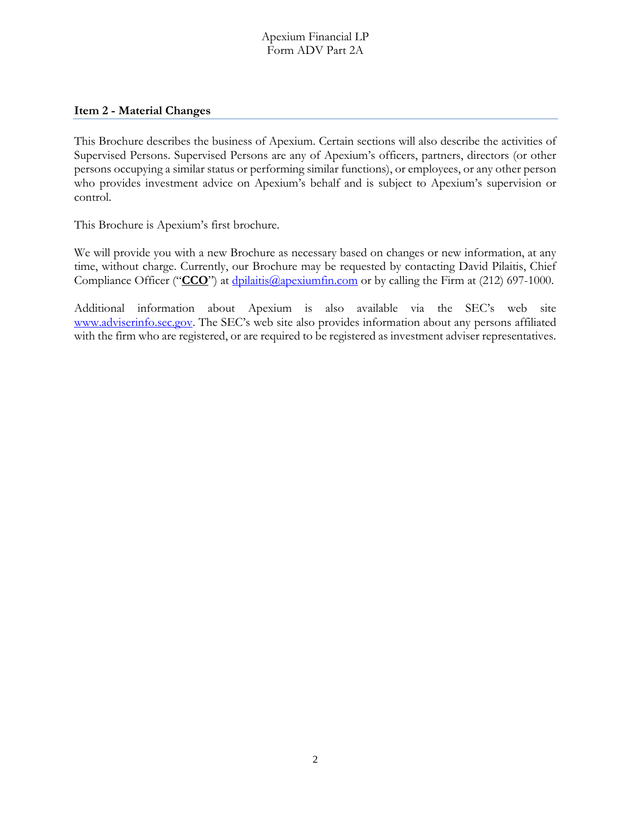#### <span id="page-1-0"></span>**Item 2 - Material Changes**

This Brochure describes the business of Apexium. Certain sections will also describe the activities of Supervised Persons. Supervised Persons are any of Apexium's officers, partners, directors (or other persons occupying a similar status or performing similar functions), or employees, or any other person who provides investment advice on Apexium's behalf and is subject to Apexium's supervision or control.

This Brochure is Apexium's first brochure.

We will provide you with a new Brochure as necessary based on changes or new information, at any time, without charge. Currently, our Brochure may be requested by contacting David Pilaitis, Chief Compliance Officer ("CCO") at [dpilaitis@apexiumfin.com](mailto:dpilaitis@apexiumfin.com) or by calling the Firm at (212) 697-1000.

Additional information about Apexium is also available via the SEC's web site [www.adviserinfo.sec.gov.](http://www.adviserinfo.sec.gov/) The SEC's web site also provides information about any persons affiliated with the firm who are registered, or are required to be registered as investment adviser representatives.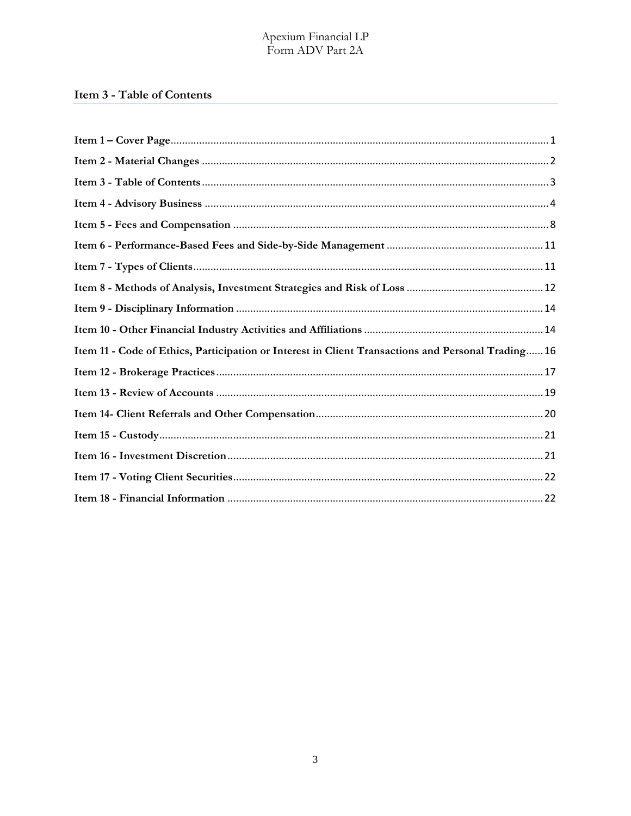# <span id="page-2-0"></span>Item 3 - Table of Contents

| Item 11 - Code of Ethics, Participation or Interest in Client Transactions and Personal Trading 16 |
|----------------------------------------------------------------------------------------------------|
|                                                                                                    |
|                                                                                                    |
|                                                                                                    |
|                                                                                                    |
|                                                                                                    |
|                                                                                                    |
|                                                                                                    |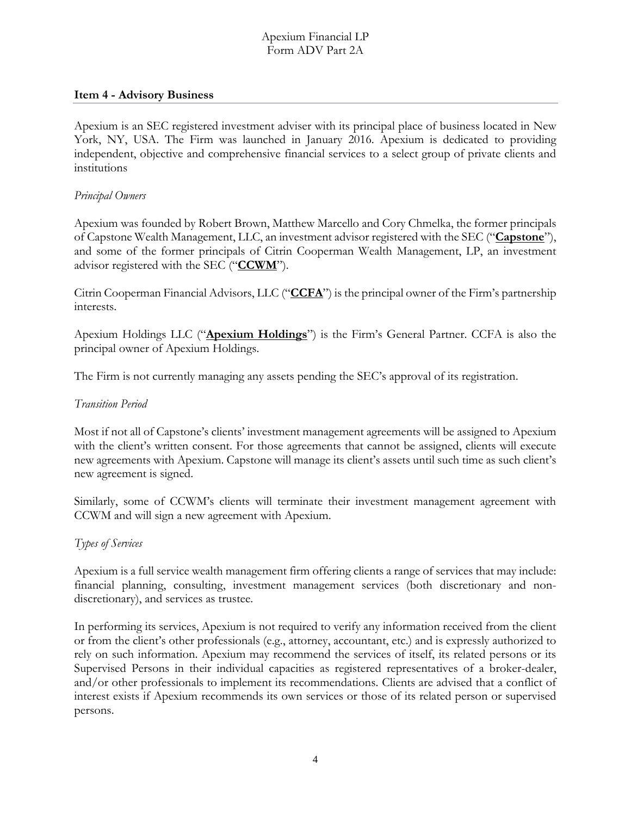#### <span id="page-3-0"></span>**Item 4 - Advisory Business**

Apexium is an SEC registered investment adviser with its principal place of business located in New York, NY, USA. The Firm was launched in January 2016. Apexium is dedicated to providing independent, objective and comprehensive financial services to a select group of private clients and institutions

#### *Principal Owners*

Apexium was founded by Robert Brown, Matthew Marcello and Cory Chmelka, the former principals of Capstone Wealth Management, LLC, an investment advisor registered with the SEC ("**Capstone**"), and some of the former principals of Citrin Cooperman Wealth Management, LP, an investment advisor registered with the SEC ("**CCWM**").

Citrin Cooperman Financial Advisors, LLC ("**CCFA**") is the principal owner of the Firm's partnership interests.

Apexium Holdings LLC ("**Apexium Holdings**") is the Firm's General Partner. CCFA is also the principal owner of Apexium Holdings.

The Firm is not currently managing any assets pending the SEC's approval of its registration.

#### *Transition Period*

Most if not all of Capstone's clients' investment management agreements will be assigned to Apexium with the client's written consent. For those agreements that cannot be assigned, clients will execute new agreements with Apexium. Capstone will manage its client's assets until such time as such client's new agreement is signed.

Similarly, some of CCWM's clients will terminate their investment management agreement with CCWM and will sign a new agreement with Apexium.

#### *Types of Services*

Apexium is a full service wealth management firm offering clients a range of services that may include: financial planning, consulting, investment management services (both discretionary and nondiscretionary), and services as trustee.

In performing its services, Apexium is not required to verify any information received from the client or from the client's other professionals (e.g., attorney, accountant, etc.) and is expressly authorized to rely on such information. Apexium may recommend the services of itself, its related persons or its Supervised Persons in their individual capacities as registered representatives of a broker-dealer, and/or other professionals to implement its recommendations. Clients are advised that a conflict of interest exists if Apexium recommends its own services or those of its related person or supervised persons.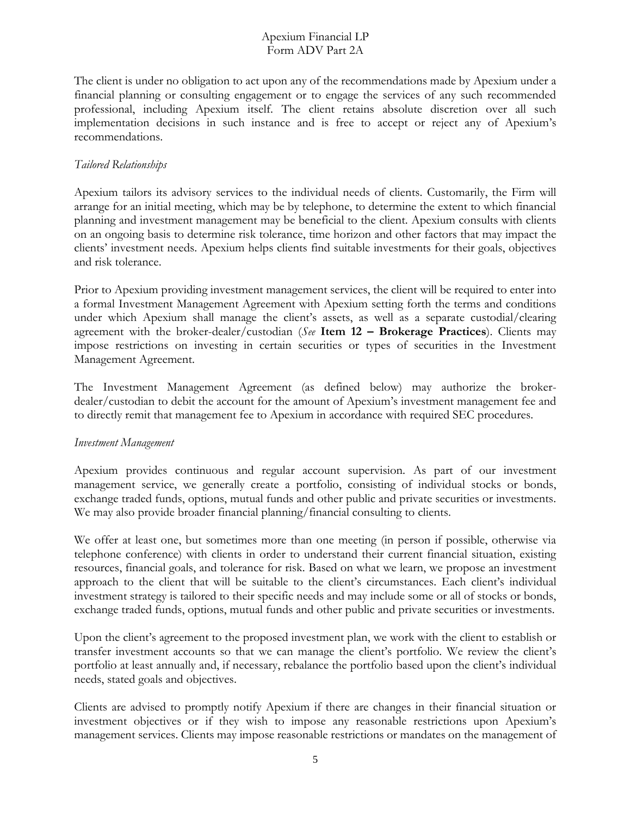The client is under no obligation to act upon any of the recommendations made by Apexium under a financial planning or consulting engagement or to engage the services of any such recommended professional, including Apexium itself. The client retains absolute discretion over all such implementation decisions in such instance and is free to accept or reject any of Apexium's recommendations.

# *Tailored Relationships*

Apexium tailors its advisory services to the individual needs of clients. Customarily, the Firm will arrange for an initial meeting, which may be by telephone, to determine the extent to which financial planning and investment management may be beneficial to the client. Apexium consults with clients on an ongoing basis to determine risk tolerance, time horizon and other factors that may impact the clients' investment needs. Apexium helps clients find suitable investments for their goals, objectives and risk tolerance.

Prior to Apexium providing investment management services, the client will be required to enter into a formal Investment Management Agreement with Apexium setting forth the terms and conditions under which Apexium shall manage the client's assets, as well as a separate custodial/clearing agreement with the broker-dealer/custodian (*See* **Item 12 – Brokerage Practices**). Clients may impose restrictions on investing in certain securities or types of securities in the Investment Management Agreement.

The Investment Management Agreement (as defined below) may authorize the brokerdealer/custodian to debit the account for the amount of Apexium's investment management fee and to directly remit that management fee to Apexium in accordance with required SEC procedures.

#### *Investment Management*

Apexium provides continuous and regular account supervision. As part of our investment management service, we generally create a portfolio, consisting of individual stocks or bonds, exchange traded funds, options, mutual funds and other public and private securities or investments. We may also provide broader financial planning/financial consulting to clients.

We offer at least one, but sometimes more than one meeting (in person if possible, otherwise via telephone conference) with clients in order to understand their current financial situation, existing resources, financial goals, and tolerance for risk. Based on what we learn, we propose an investment approach to the client that will be suitable to the client's circumstances. Each client's individual investment strategy is tailored to their specific needs and may include some or all of stocks or bonds, exchange traded funds, options, mutual funds and other public and private securities or investments.

Upon the client's agreement to the proposed investment plan, we work with the client to establish or transfer investment accounts so that we can manage the client's portfolio. We review the client's portfolio at least annually and, if necessary, rebalance the portfolio based upon the client's individual needs, stated goals and objectives.

Clients are advised to promptly notify Apexium if there are changes in their financial situation or investment objectives or if they wish to impose any reasonable restrictions upon Apexium's management services. Clients may impose reasonable restrictions or mandates on the management of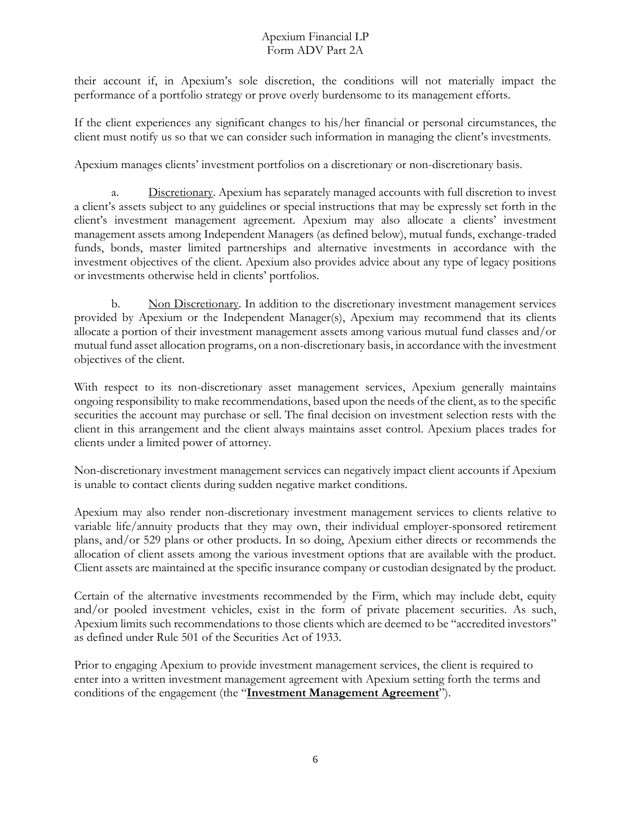their account if, in Apexium's sole discretion, the conditions will not materially impact the performance of a portfolio strategy or prove overly burdensome to its management efforts.

If the client experiences any significant changes to his/her financial or personal circumstances, the client must notify us so that we can consider such information in managing the client's investments.

Apexium manages clients' investment portfolios on a discretionary or non-discretionary basis.

Discretionary. Apexium has separately managed accounts with full discretion to invest a client's assets subject to any guidelines or special instructions that may be expressly set forth in the client's investment management agreement. Apexium may also allocate a clients' investment management assets among Independent Managers (as defined below), mutual funds, exchange-traded funds, bonds, master limited partnerships and alternative investments in accordance with the investment objectives of the client. Apexium also provides advice about any type of legacy positions or investments otherwise held in clients' portfolios.

b. Non Discretionary. In addition to the discretionary investment management services provided by Apexium or the Independent Manager(s), Apexium may recommend that its clients allocate a portion of their investment management assets among various mutual fund classes and/or mutual fund asset allocation programs, on a non-discretionary basis, in accordance with the investment objectives of the client.

With respect to its non-discretionary asset management services, Apexium generally maintains ongoing responsibility to make recommendations, based upon the needs of the client, as to the specific securities the account may purchase or sell. The final decision on investment selection rests with the client in this arrangement and the client always maintains asset control. Apexium places trades for clients under a limited power of attorney.

Non-discretionary investment management services can negatively impact client accounts if Apexium is unable to contact clients during sudden negative market conditions.

Apexium may also render non-discretionary investment management services to clients relative to variable life/annuity products that they may own, their individual employer-sponsored retirement plans, and/or 529 plans or other products. In so doing, Apexium either directs or recommends the allocation of client assets among the various investment options that are available with the product. Client assets are maintained at the specific insurance company or custodian designated by the product.

Certain of the alternative investments recommended by the Firm, which may include debt, equity and/or pooled investment vehicles, exist in the form of private placement securities. As such, Apexium limits such recommendations to those clients which are deemed to be "accredited investors" as defined under Rule 501 of the Securities Act of 1933.

Prior to engaging Apexium to provide investment management services, the client is required to enter into a written investment management agreement with Apexium setting forth the terms and conditions of the engagement (the "**Investment Management Agreement**").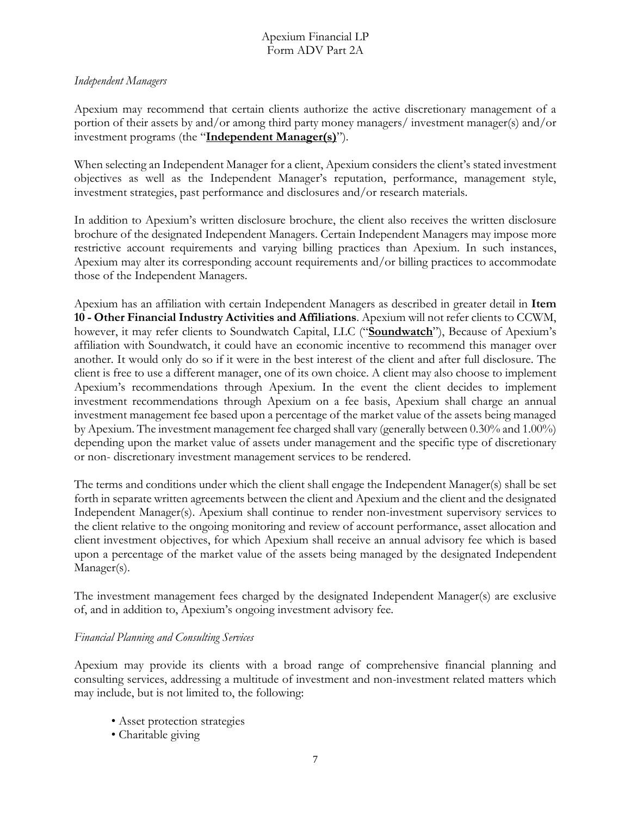#### *Independent Managers*

Apexium may recommend that certain clients authorize the active discretionary management of a portion of their assets by and/or among third party money managers/ investment manager(s) and/or investment programs (the "**Independent Manager(s)**").

When selecting an Independent Manager for a client, Apexium considers the client's stated investment objectives as well as the Independent Manager's reputation, performance, management style, investment strategies, past performance and disclosures and/or research materials.

In addition to Apexium's written disclosure brochure, the client also receives the written disclosure brochure of the designated Independent Managers. Certain Independent Managers may impose more restrictive account requirements and varying billing practices than Apexium. In such instances, Apexium may alter its corresponding account requirements and/or billing practices to accommodate those of the Independent Managers.

Apexium has an affiliation with certain Independent Managers as described in greater detail in **Item 10 - Other Financial Industry Activities and Affiliations**. Apexium will not refer clients to CCWM, however, it may refer clients to Soundwatch Capital, LLC ("**Soundwatch**"), Because of Apexium's affiliation with Soundwatch, it could have an economic incentive to recommend this manager over another. It would only do so if it were in the best interest of the client and after full disclosure. The client is free to use a different manager, one of its own choice. A client may also choose to implement Apexium's recommendations through Apexium. In the event the client decides to implement investment recommendations through Apexium on a fee basis, Apexium shall charge an annual investment management fee based upon a percentage of the market value of the assets being managed by Apexium. The investment management fee charged shall vary (generally between 0.30% and 1.00%) depending upon the market value of assets under management and the specific type of discretionary or non- discretionary investment management services to be rendered.

The terms and conditions under which the client shall engage the Independent Manager(s) shall be set forth in separate written agreements between the client and Apexium and the client and the designated Independent Manager(s). Apexium shall continue to render non-investment supervisory services to the client relative to the ongoing monitoring and review of account performance, asset allocation and client investment objectives, for which Apexium shall receive an annual advisory fee which is based upon a percentage of the market value of the assets being managed by the designated Independent Manager(s).

The investment management fees charged by the designated Independent Manager(s) are exclusive of, and in addition to, Apexium's ongoing investment advisory fee.

#### *Financial Planning and Consulting Services*

Apexium may provide its clients with a broad range of comprehensive financial planning and consulting services, addressing a multitude of investment and non-investment related matters which may include, but is not limited to, the following:

- Asset protection strategies
- Charitable giving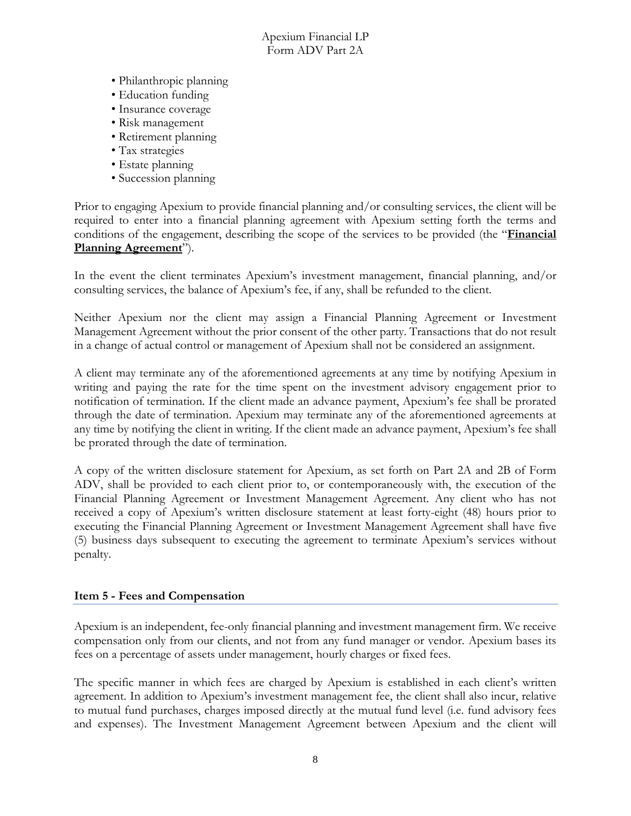- Philanthropic planning
- Education funding
- Insurance coverage
- Risk management
- Retirement planning
- Tax strategies
- Estate planning
- Succession planning

Prior to engaging Apexium to provide financial planning and/or consulting services, the client will be required to enter into a financial planning agreement with Apexium setting forth the terms and conditions of the engagement, describing the scope of the services to be provided (the "**Financial Planning Agreement**").

In the event the client terminates Apexium's investment management, financial planning, and/or consulting services, the balance of Apexium's fee, if any, shall be refunded to the client.

Neither Apexium nor the client may assign a Financial Planning Agreement or Investment Management Agreement without the prior consent of the other party. Transactions that do not result in a change of actual control or management of Apexium shall not be considered an assignment.

A client may terminate any of the aforementioned agreements at any time by notifying Apexium in writing and paying the rate for the time spent on the investment advisory engagement prior to notification of termination. If the client made an advance payment, Apexium's fee shall be prorated through the date of termination. Apexium may terminate any of the aforementioned agreements at any time by notifying the client in writing. If the client made an advance payment, Apexium's fee shall be prorated through the date of termination.

A copy of the written disclosure statement for Apexium, as set forth on Part 2A and 2B of Form ADV, shall be provided to each client prior to, or contemporaneously with, the execution of the Financial Planning Agreement or Investment Management Agreement. Any client who has not received a copy of Apexium's written disclosure statement at least forty-eight (48) hours prior to executing the Financial Planning Agreement or Investment Management Agreement shall have five (5) business days subsequent to executing the agreement to terminate Apexium's services without penalty.

#### <span id="page-7-0"></span>**Item 5 - Fees and Compensation**

Apexium is an independent, fee-only financial planning and investment management firm. We receive compensation only from our clients, and not from any fund manager or vendor. Apexium bases its fees on a percentage of assets under management, hourly charges or fixed fees.

The specific manner in which fees are charged by Apexium is established in each client's written agreement. In addition to Apexium's investment management fee, the client shall also incur, relative to mutual fund purchases, charges imposed directly at the mutual fund level (i.e. fund advisory fees and expenses). The Investment Management Agreement between Apexium and the client will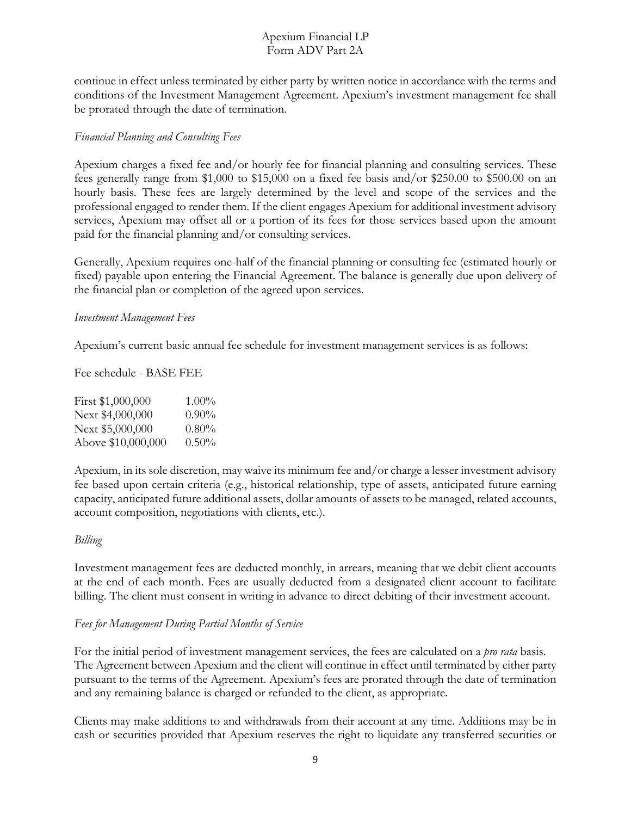continue in effect unless terminated by either party by written notice in accordance with the terms and conditions of the Investment Management Agreement. Apexium's investment management fee shall be prorated through the date of termination.

#### *Financial Planning and Consulting Fees*

Apexium charges a fixed fee and/or hourly fee for financial planning and consulting services. These fees generally range from \$1,000 to \$15,000 on a fixed fee basis and/or \$250.00 to \$500.00 on an hourly basis. These fees are largely determined by the level and scope of the services and the professional engaged to render them. If the client engages Apexium for additional investment advisory services, Apexium may offset all or a portion of its fees for those services based upon the amount paid for the financial planning and/or consulting services.

Generally, Apexium requires one-half of the financial planning or consulting fee (estimated hourly or fixed) payable upon entering the Financial Agreement. The balance is generally due upon delivery of the financial plan or completion of the agreed upon services.

#### *Investment Management Fees*

Apexium's current basic annual fee schedule for investment management services is as follows:

Fee schedule - BASE FEE

| First \$1,000,000  | $1.00\%$ |
|--------------------|----------|
| Next \$4,000,000   | $0.90\%$ |
| Next \$5,000,000   | $0.80\%$ |
| Above \$10,000,000 | $0.50\%$ |

Apexium, in its sole discretion, may waive its minimum fee and/or charge a lesser investment advisory fee based upon certain criteria (e.g., historical relationship, type of assets, anticipated future earning capacity, anticipated future additional assets, dollar amounts of assets to be managed, related accounts, account composition, negotiations with clients, etc.).

#### *Billing*

Investment management fees are deducted monthly, in arrears, meaning that we debit client accounts at the end of each month. Fees are usually deducted from a designated client account to facilitate billing. The client must consent in writing in advance to direct debiting of their investment account.

#### *Fees for Management During Partial Months of Service*

For the initial period of investment management services, the fees are calculated on a *pro rata* basis. The Agreement between Apexium and the client will continue in effect until terminated by either party pursuant to the terms of the Agreement. Apexium's fees are prorated through the date of termination and any remaining balance is charged or refunded to the client, as appropriate.

Clients may make additions to and withdrawals from their account at any time. Additions may be in cash or securities provided that Apexium reserves the right to liquidate any transferred securities or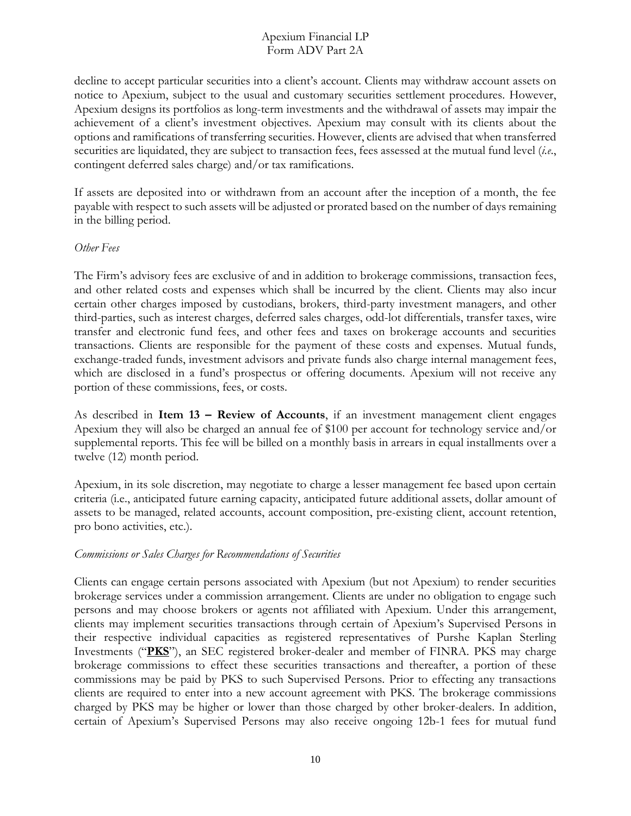decline to accept particular securities into a client's account. Clients may withdraw account assets on notice to Apexium, subject to the usual and customary securities settlement procedures. However, Apexium designs its portfolios as long-term investments and the withdrawal of assets may impair the achievement of a client's investment objectives. Apexium may consult with its clients about the options and ramifications of transferring securities. However, clients are advised that when transferred securities are liquidated, they are subject to transaction fees, fees assessed at the mutual fund level (*i.e*., contingent deferred sales charge) and/or tax ramifications.

If assets are deposited into or withdrawn from an account after the inception of a month, the fee payable with respect to such assets will be adjusted or prorated based on the number of days remaining in the billing period.

#### *Other Fees*

The Firm's advisory fees are exclusive of and in addition to brokerage commissions, transaction fees, and other related costs and expenses which shall be incurred by the client. Clients may also incur certain other charges imposed by custodians, brokers, third-party investment managers, and other third-parties, such as interest charges, deferred sales charges, odd-lot differentials, transfer taxes, wire transfer and electronic fund fees, and other fees and taxes on brokerage accounts and securities transactions. Clients are responsible for the payment of these costs and expenses. Mutual funds, exchange-traded funds, investment advisors and private funds also charge internal management fees, which are disclosed in a fund's prospectus or offering documents. Apexium will not receive any portion of these commissions, fees, or costs.

As described in **Item 13 – Review of Accounts**, if an investment management client engages Apexium they will also be charged an annual fee of \$100 per account for technology service and/or supplemental reports. This fee will be billed on a monthly basis in arrears in equal installments over a twelve (12) month period.

Apexium, in its sole discretion, may negotiate to charge a lesser management fee based upon certain criteria (i.e., anticipated future earning capacity, anticipated future additional assets, dollar amount of assets to be managed, related accounts, account composition, pre-existing client, account retention, pro bono activities, etc.).

#### *Commissions or Sales Charges for Recommendations of Securities*

Clients can engage certain persons associated with Apexium (but not Apexium) to render securities brokerage services under a commission arrangement. Clients are under no obligation to engage such persons and may choose brokers or agents not affiliated with Apexium. Under this arrangement, clients may implement securities transactions through certain of Apexium's Supervised Persons in their respective individual capacities as registered representatives of Purshe Kaplan Sterling Investments ("**PKS**"), an SEC registered broker-dealer and member of FINRA. PKS may charge brokerage commissions to effect these securities transactions and thereafter, a portion of these commissions may be paid by PKS to such Supervised Persons. Prior to effecting any transactions clients are required to enter into a new account agreement with PKS. The brokerage commissions charged by PKS may be higher or lower than those charged by other broker-dealers. In addition, certain of Apexium's Supervised Persons may also receive ongoing 12b-1 fees for mutual fund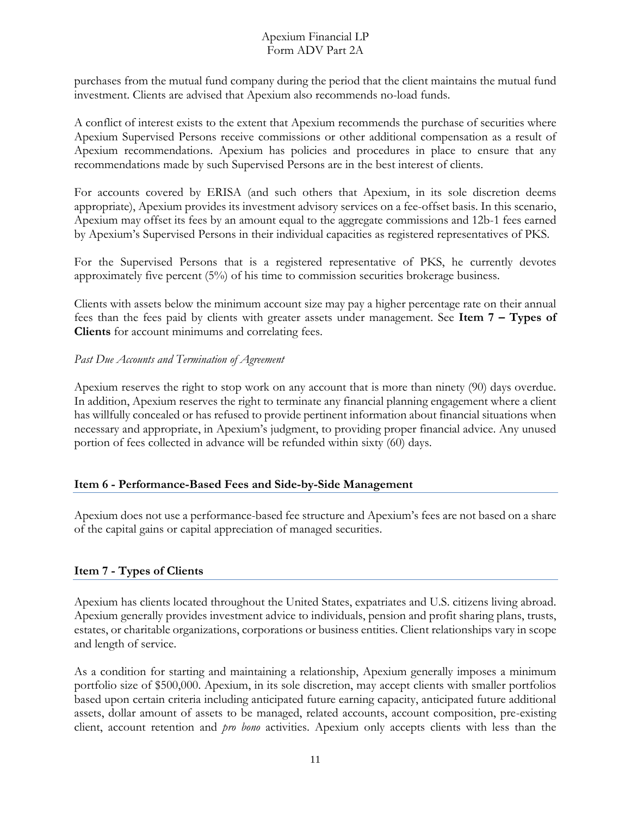purchases from the mutual fund company during the period that the client maintains the mutual fund investment. Clients are advised that Apexium also recommends no-load funds.

A conflict of interest exists to the extent that Apexium recommends the purchase of securities where Apexium Supervised Persons receive commissions or other additional compensation as a result of Apexium recommendations. Apexium has policies and procedures in place to ensure that any recommendations made by such Supervised Persons are in the best interest of clients.

For accounts covered by ERISA (and such others that Apexium, in its sole discretion deems appropriate), Apexium provides its investment advisory services on a fee-offset basis. In this scenario, Apexium may offset its fees by an amount equal to the aggregate commissions and 12b-1 fees earned by Apexium's Supervised Persons in their individual capacities as registered representatives of PKS.

For the Supervised Persons that is a registered representative of PKS, he currently devotes approximately five percent (5%) of his time to commission securities brokerage business.

Clients with assets below the minimum account size may pay a higher percentage rate on their annual fees than the fees paid by clients with greater assets under management. See **Item 7 – Types of Clients** for account minimums and correlating fees.

#### *Past Due Accounts and Termination of Agreement*

Apexium reserves the right to stop work on any account that is more than ninety (90) days overdue. In addition, Apexium reserves the right to terminate any financial planning engagement where a client has willfully concealed or has refused to provide pertinent information about financial situations when necessary and appropriate, in Apexium's judgment, to providing proper financial advice. Any unused portion of fees collected in advance will be refunded within sixty (60) days.

#### <span id="page-10-0"></span>**Item 6 - Performance-Based Fees and Side-by-Side Management**

Apexium does not use a performance-based fee structure and Apexium's fees are not based on a share of the capital gains or capital appreciation of managed securities.

#### <span id="page-10-1"></span>**Item 7 - Types of Clients**

Apexium has clients located throughout the United States, expatriates and U.S. citizens living abroad. Apexium generally provides investment advice to individuals, pension and profit sharing plans, trusts, estates, or charitable organizations, corporations or business entities. Client relationships vary in scope and length of service.

As a condition for starting and maintaining a relationship, Apexium generally imposes a minimum portfolio size of \$500,000. Apexium, in its sole discretion, may accept clients with smaller portfolios based upon certain criteria including anticipated future earning capacity, anticipated future additional assets, dollar amount of assets to be managed, related accounts, account composition, pre-existing client, account retention and *pro bono* activities. Apexium only accepts clients with less than the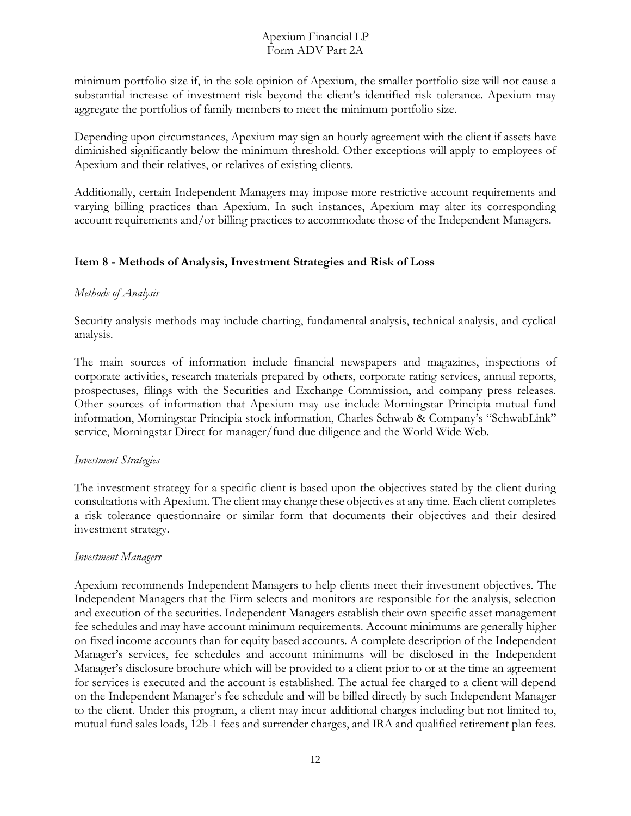minimum portfolio size if, in the sole opinion of Apexium, the smaller portfolio size will not cause a substantial increase of investment risk beyond the client's identified risk tolerance. Apexium may aggregate the portfolios of family members to meet the minimum portfolio size.

Depending upon circumstances, Apexium may sign an hourly agreement with the client if assets have diminished significantly below the minimum threshold. Other exceptions will apply to employees of Apexium and their relatives, or relatives of existing clients.

Additionally, certain Independent Managers may impose more restrictive account requirements and varying billing practices than Apexium. In such instances, Apexium may alter its corresponding account requirements and/or billing practices to accommodate those of the Independent Managers.

#### <span id="page-11-0"></span>**Item 8 - Methods of Analysis, Investment Strategies and Risk of Loss**

# *Methods of Analysis*

Security analysis methods may include charting, fundamental analysis, technical analysis, and cyclical analysis.

The main sources of information include financial newspapers and magazines, inspections of corporate activities, research materials prepared by others, corporate rating services, annual reports, prospectuses, filings with the Securities and Exchange Commission, and company press releases. Other sources of information that Apexium may use include Morningstar Principia mutual fund information, Morningstar Principia stock information, Charles Schwab & Company's "SchwabLink" service, Morningstar Direct for manager/fund due diligence and the World Wide Web.

#### *Investment Strategies*

The investment strategy for a specific client is based upon the objectives stated by the client during consultations with Apexium. The client may change these objectives at any time. Each client completes a risk tolerance questionnaire or similar form that documents their objectives and their desired investment strategy.

#### *Investment Managers*

Apexium recommends Independent Managers to help clients meet their investment objectives. The Independent Managers that the Firm selects and monitors are responsible for the analysis, selection and execution of the securities. Independent Managers establish their own specific asset management fee schedules and may have account minimum requirements. Account minimums are generally higher on fixed income accounts than for equity based accounts. A complete description of the Independent Manager's services, fee schedules and account minimums will be disclosed in the Independent Manager's disclosure brochure which will be provided to a client prior to or at the time an agreement for services is executed and the account is established. The actual fee charged to a client will depend on the Independent Manager's fee schedule and will be billed directly by such Independent Manager to the client. Under this program, a client may incur additional charges including but not limited to, mutual fund sales loads, 12b-1 fees and surrender charges, and IRA and qualified retirement plan fees.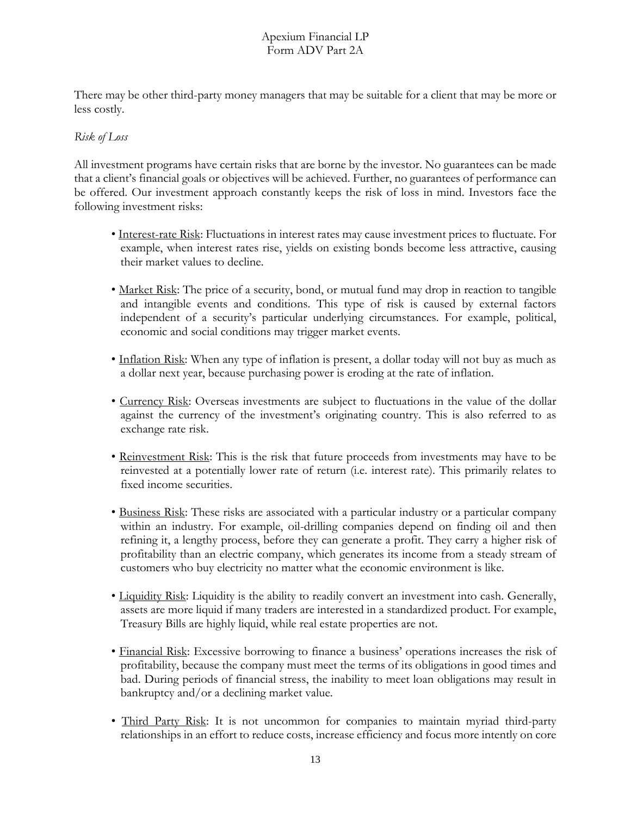There may be other third-party money managers that may be suitable for a client that may be more or less costly.

# *Risk of Loss*

All investment programs have certain risks that are borne by the investor. No guarantees can be made that a client's financial goals or objectives will be achieved. Further, no guarantees of performance can be offered. Our investment approach constantly keeps the risk of loss in mind. Investors face the following investment risks:

- Interest-rate Risk: Fluctuations in interest rates may cause investment prices to fluctuate. For example, when interest rates rise, yields on existing bonds become less attractive, causing their market values to decline.
- Market Risk: The price of a security, bond, or mutual fund may drop in reaction to tangible and intangible events and conditions. This type of risk is caused by external factors independent of a security's particular underlying circumstances. For example, political, economic and social conditions may trigger market events.
- Inflation Risk: When any type of inflation is present, a dollar today will not buy as much as a dollar next year, because purchasing power is eroding at the rate of inflation.
- Currency Risk: Overseas investments are subject to fluctuations in the value of the dollar against the currency of the investment's originating country. This is also referred to as exchange rate risk.
- Reinvestment Risk: This is the risk that future proceeds from investments may have to be reinvested at a potentially lower rate of return (i.e. interest rate). This primarily relates to fixed income securities.
- Business Risk: These risks are associated with a particular industry or a particular company within an industry. For example, oil-drilling companies depend on finding oil and then refining it, a lengthy process, before they can generate a profit. They carry a higher risk of profitability than an electric company, which generates its income from a steady stream of customers who buy electricity no matter what the economic environment is like.
- Liquidity Risk: Liquidity is the ability to readily convert an investment into cash. Generally, assets are more liquid if many traders are interested in a standardized product. For example, Treasury Bills are highly liquid, while real estate properties are not.
- Financial Risk: Excessive borrowing to finance a business' operations increases the risk of profitability, because the company must meet the terms of its obligations in good times and bad. During periods of financial stress, the inability to meet loan obligations may result in bankruptcy and/or a declining market value.
- Third Party Risk: It is not uncommon for companies to maintain myriad third-party relationships in an effort to reduce costs, increase efficiency and focus more intently on core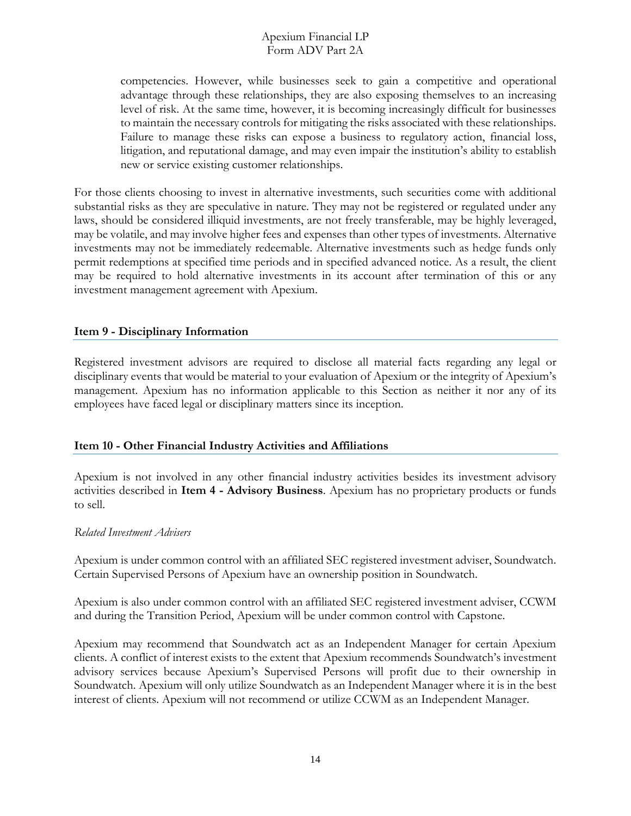competencies. However, while businesses seek to gain a competitive and operational advantage through these relationships, they are also exposing themselves to an increasing level of risk. At the same time, however, it is becoming increasingly difficult for businesses to maintain the necessary controls for mitigating the risks associated with these relationships. Failure to manage these risks can expose a business to regulatory action, financial loss, litigation, and reputational damage, and may even impair the institution's ability to establish new or service existing customer relationships.

For those clients choosing to invest in alternative investments, such securities come with additional substantial risks as they are speculative in nature. They may not be registered or regulated under any laws, should be considered illiquid investments, are not freely transferable, may be highly leveraged, may be volatile, and may involve higher fees and expenses than other types of investments. Alternative investments may not be immediately redeemable. Alternative investments such as hedge funds only permit redemptions at specified time periods and in specified advanced notice. As a result, the client may be required to hold alternative investments in its account after termination of this or any investment management agreement with Apexium.

#### <span id="page-13-0"></span>**Item 9 - Disciplinary Information**

Registered investment advisors are required to disclose all material facts regarding any legal or disciplinary events that would be material to your evaluation of Apexium or the integrity of Apexium's management. Apexium has no information applicable to this Section as neither it nor any of its employees have faced legal or disciplinary matters since its inception.

#### <span id="page-13-1"></span>**Item 10 - Other Financial Industry Activities and Affiliations**

Apexium is not involved in any other financial industry activities besides its investment advisory activities described in **Item 4 - Advisory Business**. Apexium has no proprietary products or funds to sell.

#### *Related Investment Advisers*

Apexium is under common control with an affiliated SEC registered investment adviser, Soundwatch. Certain Supervised Persons of Apexium have an ownership position in Soundwatch.

Apexium is also under common control with an affiliated SEC registered investment adviser, CCWM and during the Transition Period, Apexium will be under common control with Capstone.

Apexium may recommend that Soundwatch act as an Independent Manager for certain Apexium clients. A conflict of interest exists to the extent that Apexium recommends Soundwatch's investment advisory services because Apexium's Supervised Persons will profit due to their ownership in Soundwatch. Apexium will only utilize Soundwatch as an Independent Manager where it is in the best interest of clients. Apexium will not recommend or utilize CCWM as an Independent Manager.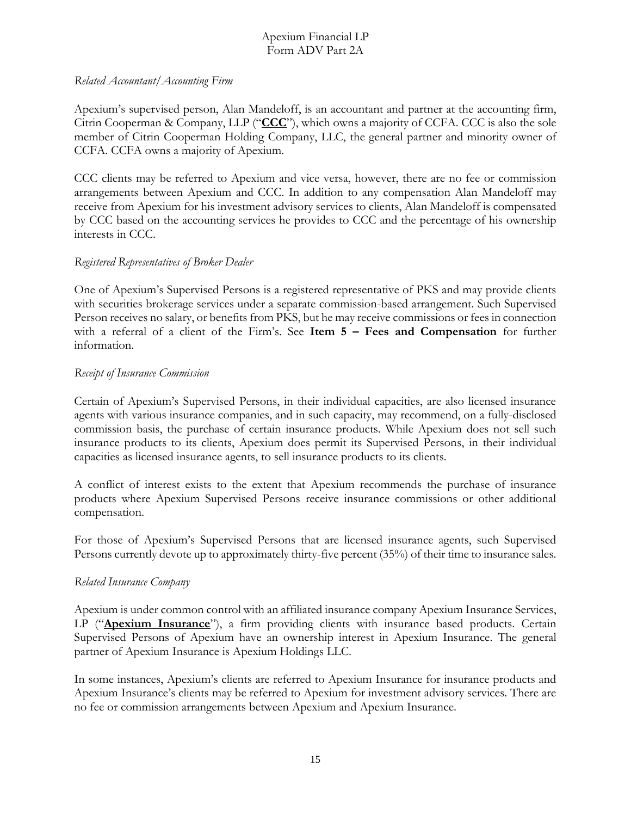#### *Related Accountant/Accounting Firm*

Apexium's supervised person, Alan Mandeloff, is an accountant and partner at the accounting firm, Citrin Cooperman & Company, LLP ("**CCC**"), which owns a majority of CCFA. CCC is also the sole member of Citrin Cooperman Holding Company, LLC, the general partner and minority owner of CCFA. CCFA owns a majority of Apexium.

CCC clients may be referred to Apexium and vice versa, however, there are no fee or commission arrangements between Apexium and CCC. In addition to any compensation Alan Mandeloff may receive from Apexium for his investment advisory services to clients, Alan Mandeloff is compensated by CCC based on the accounting services he provides to CCC and the percentage of his ownership interests in CCC.

#### *Registered Representatives of Broker Dealer*

One of Apexium's Supervised Persons is a registered representative of PKS and may provide clients with securities brokerage services under a separate commission-based arrangement. Such Supervised Person receives no salary, or benefits from PKS, but he may receive commissions or fees in connection with a referral of a client of the Firm's. See **Item 5 – Fees and Compensation** for further information.

#### *Receipt of Insurance Commission*

Certain of Apexium's Supervised Persons, in their individual capacities, are also licensed insurance agents with various insurance companies, and in such capacity, may recommend, on a fully-disclosed commission basis, the purchase of certain insurance products. While Apexium does not sell such insurance products to its clients, Apexium does permit its Supervised Persons, in their individual capacities as licensed insurance agents, to sell insurance products to its clients.

A conflict of interest exists to the extent that Apexium recommends the purchase of insurance products where Apexium Supervised Persons receive insurance commissions or other additional compensation.

For those of Apexium's Supervised Persons that are licensed insurance agents, such Supervised Persons currently devote up to approximately thirty-five percent (35%) of their time to insurance sales.

#### *Related Insurance Company*

Apexium is under common control with an affiliated insurance company Apexium Insurance Services, LP ("**Apexium Insurance**"), a firm providing clients with insurance based products. Certain Supervised Persons of Apexium have an ownership interest in Apexium Insurance. The general partner of Apexium Insurance is Apexium Holdings LLC.

In some instances, Apexium's clients are referred to Apexium Insurance for insurance products and Apexium Insurance's clients may be referred to Apexium for investment advisory services. There are no fee or commission arrangements between Apexium and Apexium Insurance.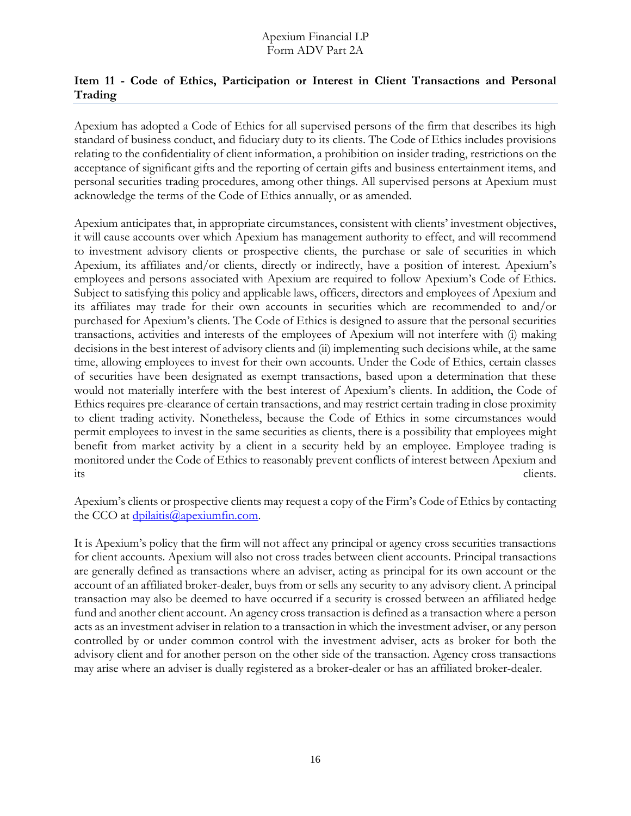# <span id="page-15-0"></span>**Item 11 - Code of Ethics, Participation or Interest in Client Transactions and Personal Trading**

Apexium has adopted a Code of Ethics for all supervised persons of the firm that describes its high standard of business conduct, and fiduciary duty to its clients. The Code of Ethics includes provisions relating to the confidentiality of client information, a prohibition on insider trading, restrictions on the acceptance of significant gifts and the reporting of certain gifts and business entertainment items, and personal securities trading procedures, among other things. All supervised persons at Apexium must acknowledge the terms of the Code of Ethics annually, or as amended.

Apexium anticipates that, in appropriate circumstances, consistent with clients' investment objectives, it will cause accounts over which Apexium has management authority to effect, and will recommend to investment advisory clients or prospective clients, the purchase or sale of securities in which Apexium, its affiliates and/or clients, directly or indirectly, have a position of interest. Apexium's employees and persons associated with Apexium are required to follow Apexium's Code of Ethics. Subject to satisfying this policy and applicable laws, officers, directors and employees of Apexium and its affiliates may trade for their own accounts in securities which are recommended to and/or purchased for Apexium's clients. The Code of Ethics is designed to assure that the personal securities transactions, activities and interests of the employees of Apexium will not interfere with (i) making decisions in the best interest of advisory clients and (ii) implementing such decisions while, at the same time, allowing employees to invest for their own accounts. Under the Code of Ethics, certain classes of securities have been designated as exempt transactions, based upon a determination that these would not materially interfere with the best interest of Apexium's clients. In addition, the Code of Ethics requires pre-clearance of certain transactions, and may restrict certain trading in close proximity to client trading activity. Nonetheless, because the Code of Ethics in some circumstances would permit employees to invest in the same securities as clients, there is a possibility that employees might benefit from market activity by a client in a security held by an employee. Employee trading is monitored under the Code of Ethics to reasonably prevent conflicts of interest between Apexium and its clients.

Apexium's clients or prospective clients may request a copy of the Firm's Code of Ethics by contacting the CCO at  $\frac{d}{p}\frac{d}{d}$ apexiumfin.com.

It is Apexium's policy that the firm will not affect any principal or agency cross securities transactions for client accounts. Apexium will also not cross trades between client accounts. Principal transactions are generally defined as transactions where an adviser, acting as principal for its own account or the account of an affiliated broker-dealer, buys from or sells any security to any advisory client. A principal transaction may also be deemed to have occurred if a security is crossed between an affiliated hedge fund and another client account. An agency cross transaction is defined as a transaction where a person acts as an investment adviser in relation to a transaction in which the investment adviser, or any person controlled by or under common control with the investment adviser, acts as broker for both the advisory client and for another person on the other side of the transaction. Agency cross transactions may arise where an adviser is dually registered as a broker-dealer or has an affiliated broker-dealer.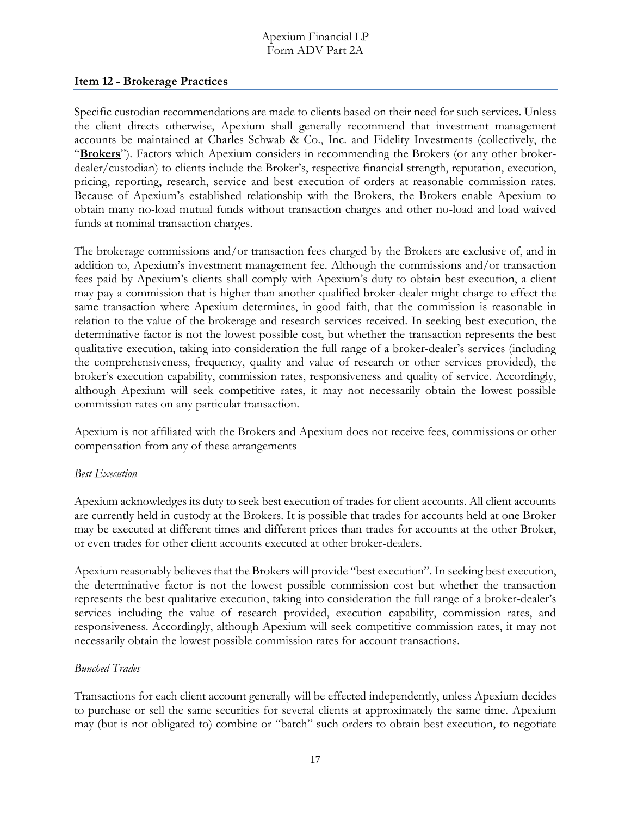#### <span id="page-16-0"></span>**Item 12 - Brokerage Practices**

Specific custodian recommendations are made to clients based on their need for such services. Unless the client directs otherwise, Apexium shall generally recommend that investment management accounts be maintained at Charles Schwab & Co., Inc. and Fidelity Investments (collectively, the "**Brokers**"). Factors which Apexium considers in recommending the Brokers (or any other brokerdealer/custodian) to clients include the Broker's, respective financial strength, reputation, execution, pricing, reporting, research, service and best execution of orders at reasonable commission rates. Because of Apexium's established relationship with the Brokers, the Brokers enable Apexium to obtain many no-load mutual funds without transaction charges and other no-load and load waived funds at nominal transaction charges.

The brokerage commissions and/or transaction fees charged by the Brokers are exclusive of, and in addition to, Apexium's investment management fee. Although the commissions and/or transaction fees paid by Apexium's clients shall comply with Apexium's duty to obtain best execution, a client may pay a commission that is higher than another qualified broker-dealer might charge to effect the same transaction where Apexium determines, in good faith, that the commission is reasonable in relation to the value of the brokerage and research services received. In seeking best execution, the determinative factor is not the lowest possible cost, but whether the transaction represents the best qualitative execution, taking into consideration the full range of a broker-dealer's services (including the comprehensiveness, frequency, quality and value of research or other services provided), the broker's execution capability, commission rates, responsiveness and quality of service. Accordingly, although Apexium will seek competitive rates, it may not necessarily obtain the lowest possible commission rates on any particular transaction.

Apexium is not affiliated with the Brokers and Apexium does not receive fees, commissions or other compensation from any of these arrangements

#### *Best Execution*

Apexium acknowledges its duty to seek best execution of trades for client accounts. All client accounts are currently held in custody at the Brokers. It is possible that trades for accounts held at one Broker may be executed at different times and different prices than trades for accounts at the other Broker, or even trades for other client accounts executed at other broker-dealers.

Apexium reasonably believes that the Brokers will provide "best execution". In seeking best execution, the determinative factor is not the lowest possible commission cost but whether the transaction represents the best qualitative execution, taking into consideration the full range of a broker-dealer's services including the value of research provided, execution capability, commission rates, and responsiveness. Accordingly, although Apexium will seek competitive commission rates, it may not necessarily obtain the lowest possible commission rates for account transactions.

#### *Bunched Trades*

Transactions for each client account generally will be effected independently, unless Apexium decides to purchase or sell the same securities for several clients at approximately the same time. Apexium may (but is not obligated to) combine or "batch" such orders to obtain best execution, to negotiate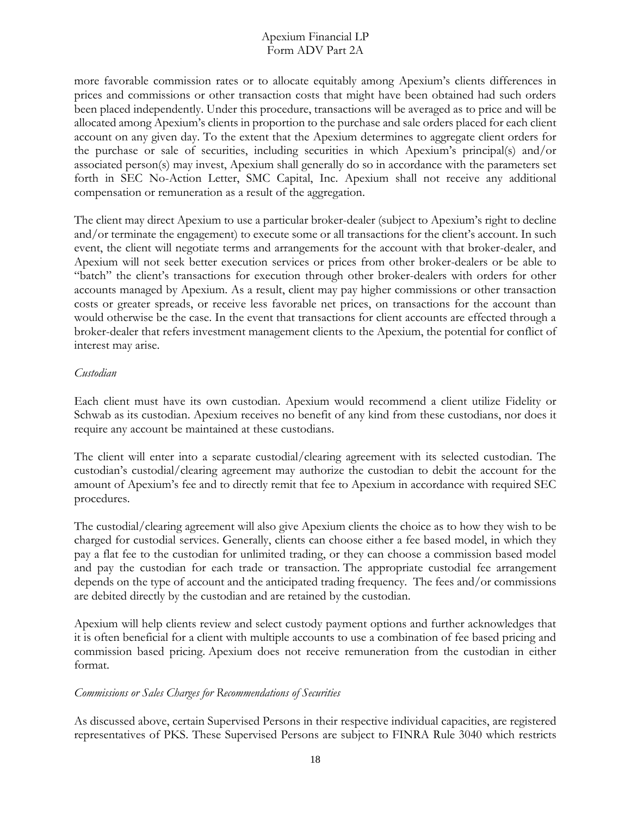more favorable commission rates or to allocate equitably among Apexium's clients differences in prices and commissions or other transaction costs that might have been obtained had such orders been placed independently. Under this procedure, transactions will be averaged as to price and will be allocated among Apexium's clients in proportion to the purchase and sale orders placed for each client account on any given day. To the extent that the Apexium determines to aggregate client orders for the purchase or sale of securities, including securities in which Apexium's principal(s) and/or associated person(s) may invest, Apexium shall generally do so in accordance with the parameters set forth in SEC No-Action Letter, SMC Capital, Inc. Apexium shall not receive any additional compensation or remuneration as a result of the aggregation.

The client may direct Apexium to use a particular broker-dealer (subject to Apexium's right to decline and/or terminate the engagement) to execute some or all transactions for the client's account. In such event, the client will negotiate terms and arrangements for the account with that broker-dealer, and Apexium will not seek better execution services or prices from other broker-dealers or be able to "batch" the client's transactions for execution through other broker-dealers with orders for other accounts managed by Apexium. As a result, client may pay higher commissions or other transaction costs or greater spreads, or receive less favorable net prices, on transactions for the account than would otherwise be the case. In the event that transactions for client accounts are effected through a broker-dealer that refers investment management clients to the Apexium, the potential for conflict of interest may arise.

#### *Custodian*

Each client must have its own custodian. Apexium would recommend a client utilize Fidelity or Schwab as its custodian. Apexium receives no benefit of any kind from these custodians, nor does it require any account be maintained at these custodians.

The client will enter into a separate custodial/clearing agreement with its selected custodian. The custodian's custodial/clearing agreement may authorize the custodian to debit the account for the amount of Apexium's fee and to directly remit that fee to Apexium in accordance with required SEC procedures.

The custodial/clearing agreement will also give Apexium clients the choice as to how they wish to be charged for custodial services. Generally, clients can choose either a fee based model, in which they pay a flat fee to the custodian for unlimited trading, or they can choose a commission based model and pay the custodian for each trade or transaction. The appropriate custodial fee arrangement depends on the type of account and the anticipated trading frequency. The fees and/or commissions are debited directly by the custodian and are retained by the custodian.

Apexium will help clients review and select custody payment options and further acknowledges that it is often beneficial for a client with multiple accounts to use a combination of fee based pricing and commission based pricing. Apexium does not receive remuneration from the custodian in either format.

#### *Commissions or Sales Charges for Recommendations of Securities*

As discussed above, certain Supervised Persons in their respective individual capacities, are registered representatives of PKS. These Supervised Persons are subject to FINRA Rule 3040 which restricts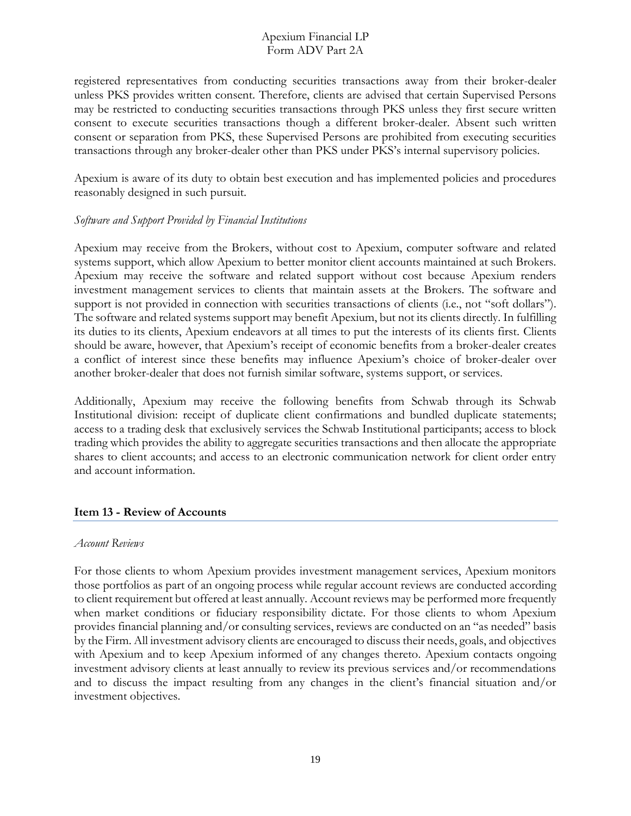registered representatives from conducting securities transactions away from their broker-dealer unless PKS provides written consent. Therefore, clients are advised that certain Supervised Persons may be restricted to conducting securities transactions through PKS unless they first secure written consent to execute securities transactions though a different broker-dealer. Absent such written consent or separation from PKS, these Supervised Persons are prohibited from executing securities transactions through any broker-dealer other than PKS under PKS's internal supervisory policies.

Apexium is aware of its duty to obtain best execution and has implemented policies and procedures reasonably designed in such pursuit.

#### *Software and Support Provided by Financial Institutions*

Apexium may receive from the Brokers, without cost to Apexium, computer software and related systems support, which allow Apexium to better monitor client accounts maintained at such Brokers. Apexium may receive the software and related support without cost because Apexium renders investment management services to clients that maintain assets at the Brokers. The software and support is not provided in connection with securities transactions of clients (i.e., not "soft dollars"). The software and related systems support may benefit Apexium, but not its clients directly. In fulfilling its duties to its clients, Apexium endeavors at all times to put the interests of its clients first. Clients should be aware, however, that Apexium's receipt of economic benefits from a broker-dealer creates a conflict of interest since these benefits may influence Apexium's choice of broker-dealer over another broker-dealer that does not furnish similar software, systems support, or services.

Additionally, Apexium may receive the following benefits from Schwab through its Schwab Institutional division: receipt of duplicate client confirmations and bundled duplicate statements; access to a trading desk that exclusively services the Schwab Institutional participants; access to block trading which provides the ability to aggregate securities transactions and then allocate the appropriate shares to client accounts; and access to an electronic communication network for client order entry and account information.

#### <span id="page-18-0"></span>**Item 13 - Review of Accounts**

#### *Account Reviews*

For those clients to whom Apexium provides investment management services, Apexium monitors those portfolios as part of an ongoing process while regular account reviews are conducted according to client requirement but offered at least annually. Account reviews may be performed more frequently when market conditions or fiduciary responsibility dictate. For those clients to whom Apexium provides financial planning and/or consulting services, reviews are conducted on an "as needed" basis by the Firm. All investment advisory clients are encouraged to discuss their needs, goals, and objectives with Apexium and to keep Apexium informed of any changes thereto. Apexium contacts ongoing investment advisory clients at least annually to review its previous services and/or recommendations and to discuss the impact resulting from any changes in the client's financial situation and/or investment objectives.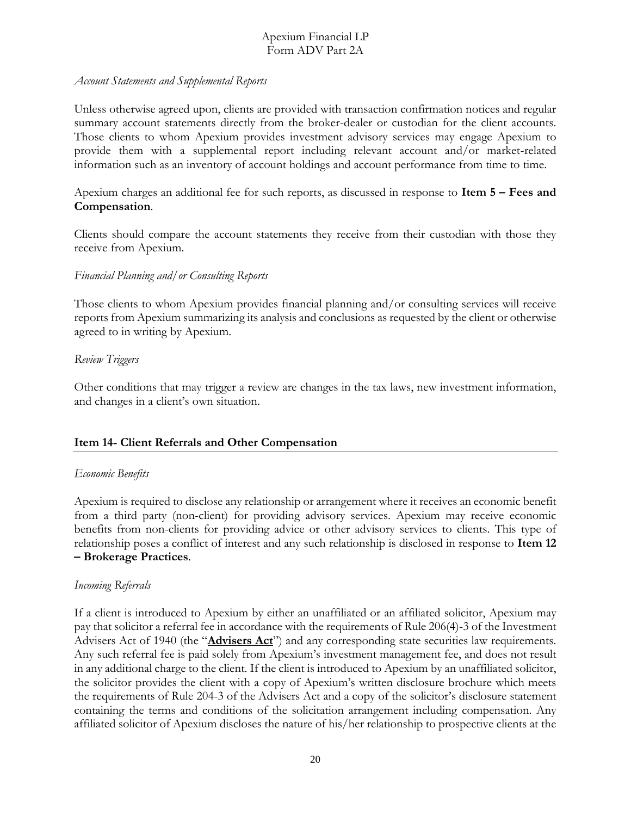#### *Account Statements and Supplemental Reports*

Unless otherwise agreed upon, clients are provided with transaction confirmation notices and regular summary account statements directly from the broker-dealer or custodian for the client accounts. Those clients to whom Apexium provides investment advisory services may engage Apexium to provide them with a supplemental report including relevant account and/or market-related information such as an inventory of account holdings and account performance from time to time.

Apexium charges an additional fee for such reports, as discussed in response to **Item 5 – Fees and Compensation**.

Clients should compare the account statements they receive from their custodian with those they receive from Apexium.

# *Financial Planning and/or Consulting Reports*

Those clients to whom Apexium provides financial planning and/or consulting services will receive reports from Apexium summarizing its analysis and conclusions as requested by the client or otherwise agreed to in writing by Apexium.

#### *Review Triggers*

Other conditions that may trigger a review are changes in the tax laws, new investment information, and changes in a client's own situation.

#### <span id="page-19-0"></span>**Item 14- Client Referrals and Other Compensation**

#### *Economic Benefits*

Apexium is required to disclose any relationship or arrangement where it receives an economic benefit from a third party (non-client) for providing advisory services. Apexium may receive economic benefits from non-clients for providing advice or other advisory services to clients. This type of relationship poses a conflict of interest and any such relationship is disclosed in response to **Item 12 – Brokerage Practices**.

#### *Incoming Referrals*

If a client is introduced to Apexium by either an unaffiliated or an affiliated solicitor, Apexium may pay that solicitor a referral fee in accordance with the requirements of Rule 206(4)-3 of the Investment Advisers Act of 1940 (the "**Advisers Act**") and any corresponding state securities law requirements. Any such referral fee is paid solely from Apexium's investment management fee, and does not result in any additional charge to the client. If the client is introduced to Apexium by an unaffiliated solicitor, the solicitor provides the client with a copy of Apexium's written disclosure brochure which meets the requirements of Rule 204-3 of the Advisers Act and a copy of the solicitor's disclosure statement containing the terms and conditions of the solicitation arrangement including compensation. Any affiliated solicitor of Apexium discloses the nature of his/her relationship to prospective clients at the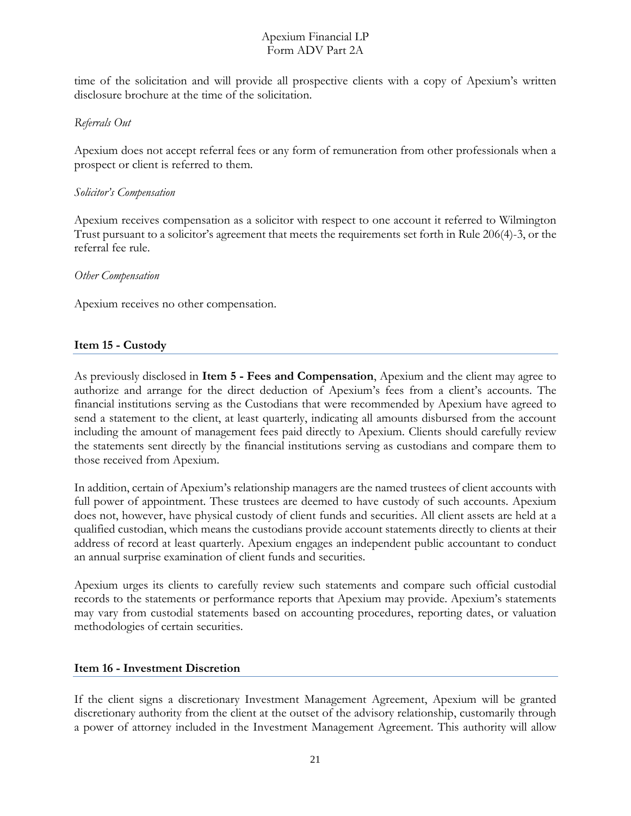time of the solicitation and will provide all prospective clients with a copy of Apexium's written disclosure brochure at the time of the solicitation.

# *Referrals Out*

Apexium does not accept referral fees or any form of remuneration from other professionals when a prospect or client is referred to them.

#### *Solicitor's Compensation*

Apexium receives compensation as a solicitor with respect to one account it referred to Wilmington Trust pursuant to a solicitor's agreement that meets the requirements set forth in Rule 206(4)-3, or the referral fee rule.

#### *Other Compensation*

Apexium receives no other compensation.

# <span id="page-20-0"></span>**Item 15 - Custody**

As previously disclosed in **Item 5 - Fees and Compensation**, Apexium and the client may agree to authorize and arrange for the direct deduction of Apexium's fees from a client's accounts. The financial institutions serving as the Custodians that were recommended by Apexium have agreed to send a statement to the client, at least quarterly, indicating all amounts disbursed from the account including the amount of management fees paid directly to Apexium. Clients should carefully review the statements sent directly by the financial institutions serving as custodians and compare them to those received from Apexium.

In addition, certain of Apexium's relationship managers are the named trustees of client accounts with full power of appointment. These trustees are deemed to have custody of such accounts. Apexium does not, however, have physical custody of client funds and securities. All client assets are held at a qualified custodian, which means the custodians provide account statements directly to clients at their address of record at least quarterly. Apexium engages an independent public accountant to conduct an annual surprise examination of client funds and securities.

Apexium urges its clients to carefully review such statements and compare such official custodial records to the statements or performance reports that Apexium may provide. Apexium's statements may vary from custodial statements based on accounting procedures, reporting dates, or valuation methodologies of certain securities.

#### <span id="page-20-1"></span>**Item 16 - Investment Discretion**

If the client signs a discretionary Investment Management Agreement, Apexium will be granted discretionary authority from the client at the outset of the advisory relationship, customarily through a power of attorney included in the Investment Management Agreement. This authority will allow